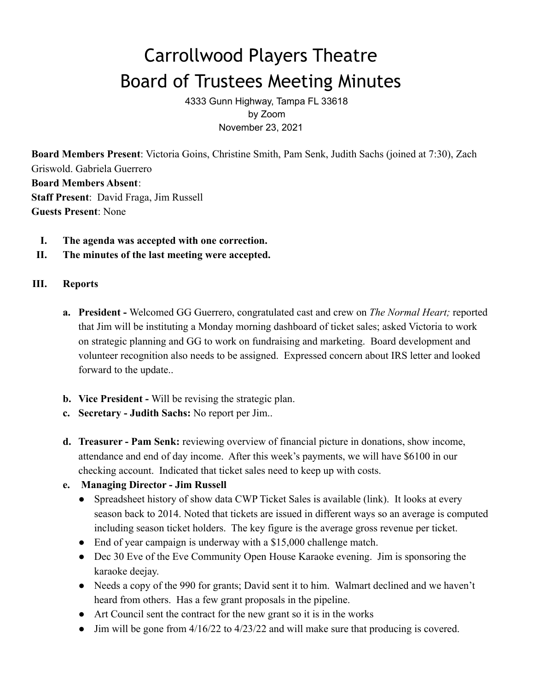# Carrollwood Players Theatre Board of Trustees Meeting Minutes

4333 Gunn Highway, Tampa FL 33618 by Zoom November 23, 2021

**Board Members Present**: Victoria Goins, Christine Smith, Pam Senk, Judith Sachs (joined at 7:30), Zach Griswold. Gabriela Guerrero **Board Members Absent**: **Staff Present**: David Fraga, Jim Russell **Guests Present**: None

- **I. The agenda was accepted with one correction.**
- **II. The minutes of the last meeting were accepted.**

### **III. Reports**

- **a. President -** Welcomed GG Guerrero, congratulated cast and crew on *The Normal Heart;* reported that Jim will be instituting a Monday morning dashboard of ticket sales; asked Victoria to work on strategic planning and GG to work on fundraising and marketing. Board development and volunteer recognition also needs to be assigned. Expressed concern about IRS letter and looked forward to the update..
- **b. Vice President -** Will be revising the strategic plan.
- **c. Secretary Judith Sachs:** No report per Jim..
- **d. Treasurer Pam Senk:** reviewing overview of financial picture in donations, show income, attendance and end of day income. After this week's payments, we will have \$6100 in our checking account. Indicated that ticket sales need to keep up with costs.

# **e. Managing Director - Jim Russell**

- Spreadsheet history of show data CWP Ticket Sales is available (link). It looks at every season back to 2014. Noted that tickets are issued in different ways so an average is computed including season ticket holders. The key figure is the average gross revenue per ticket.
- End of year campaign is underway with a \$15,000 challenge match.
- Dec 30 Eve of the Eve Community Open House Karaoke evening. Jim is sponsoring the karaoke deejay.
- Needs a copy of the 990 for grants; David sent it to him. Walmart declined and we haven't heard from others. Has a few grant proposals in the pipeline.
- Art Council sent the contract for the new grant so it is in the works
- Jim will be gone from  $4/16/22$  to  $4/23/22$  and will make sure that producing is covered.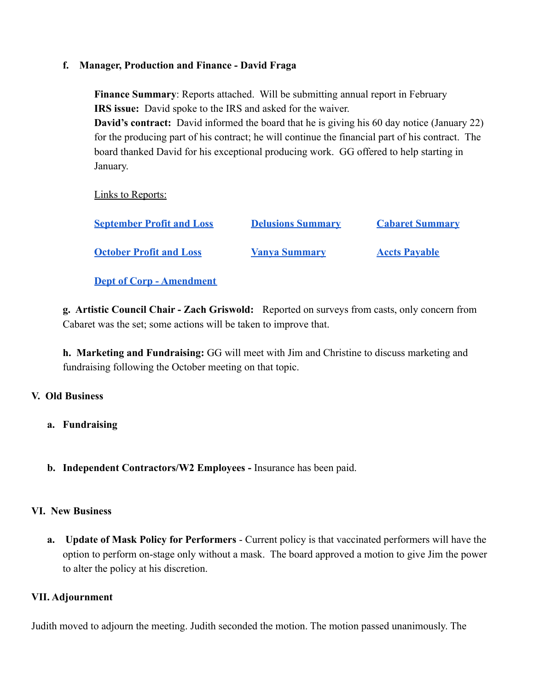#### **f. Manager, Production and Finance - David Fraga**

**Finance Summary**: Reports attached. Will be submitting annual report in February **IRS issue:** David spoke to the IRS and asked for the waiver. **David's contract:** David informed the board that he is giving his 60 day notice (January 22) for the producing part of his contract; he will continue the financial part of his contract. The board thanked David for his exceptional producing work. GG offered to help starting in January.

Links to Reports:

| <b>September Profit and Loss</b> | <b>Delusions Summary</b> | <b>Cabaret Summary</b> |
|----------------------------------|--------------------------|------------------------|
| <b>October Profit and Loss</b>   | <b>Vanya Summary</b>     | <b>Accts Payable</b>   |

**[Dept of Corp - Amendment](https://drive.google.com/file/d/1hTAGWgEVAV3JaH_2XefpA4iUFV3nUqZl/view?usp=sharing)**

**g. Artistic Council Chair - Zach Griswold:** Reported on surveys from casts, only concern from Cabaret was the set; some actions will be taken to improve that.

**h. Marketing and Fundraising:** GG will meet with Jim and Christine to discuss marketing and fundraising following the October meeting on that topic.

# **V. Old Business**

- **a. Fundraising**
- **b. Independent Contractors/W2 Employees -** Insurance has been paid.

#### **VI. New Business**

**a. Update of Mask Policy for Performers** - Current policy is that vaccinated performers will have the option to perform on-stage only without a mask. The board approved a motion to give Jim the power to alter the policy at his discretion.

#### **VII. Adjournment**

Judith moved to adjourn the meeting. Judith seconded the motion. The motion passed unanimously. The